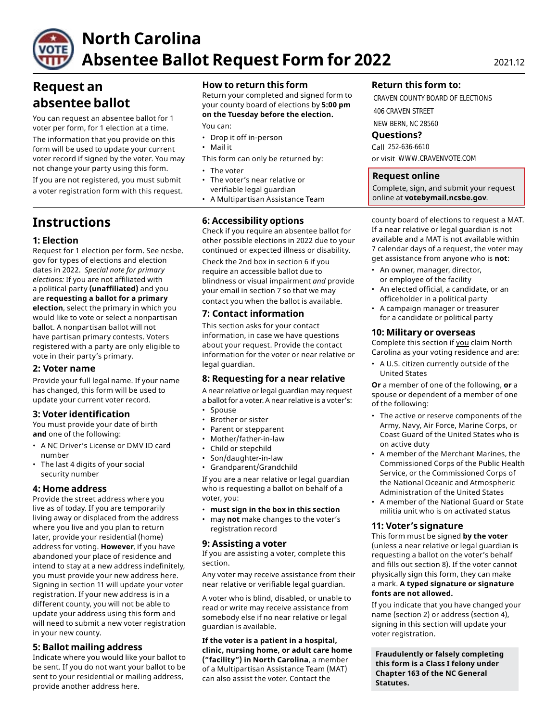

# **North Carolina Absentee Ballot Request Form for 2022** 2021.12

# **Request an absentee ballot**

You can request an absentee ballot for 1 voter per form, for 1 election at a time.

The information that you provide on this form will be used to update your current voter record if signed by the voter. You may not change your party using this form. • The voter

If you are not registered, you must submit • The voter's near relative or a voter registration form with this request.

# **Instructions**

# **1: Election**

Request for 1 election per form. See ncsbe. gov for types of elections and election dates in 2022. *Special note for primary elections:* If you are not affiliated with a political party **(unaffiliated)** and you are **requesting a ballot for a primary election**, select the primary in which you would like to vote or select a nonpartisan ballot. A nonpartisan ballot will not have partisan primary contests. Voters registered with a party are only eligible to vote in their party's primary.

# **2: Voter name**

Provide your full legal name. If your name has changed, this form will be used to update your current voter record.

# **3: Voter identification**

You must provide your date of birth **and** one of the following:

- A NC Driver's License or DMV ID card number
- The last 4 digits of your social security number

# **4: Home address**

Provide the street address where you live as of today. If you are temporarily living away or displaced from the address where you live and you plan to return later, provide your residential (home) address for voting. **However**, if you have abandoned your place of residence and intend to stay at a new address indefinitely, you must provide your new address here. Signing in section 11 will update your voter registration. If your new address is in a different county, you will not be able to update your address using this form and will need to submit a new voter registration in your new county.

# **5: Ballot mailing address**

Indicate where you would like your ballot to be sent. If you do not want your ballot to be sent to your residential or mailing address, provide another address here.

# **How to return this form**

Return your completed and signed form to your county board of elections by **5:00 pm on the Tuesday before the election.** 

You can:

- Drop it off in-person
- Mail it
- This form can only be returned by:
- 
- verifiable legal guardian
- A Multipartisan Assistance Team

# **6: Accessibility options**

Check if you require an absentee ballot for other possible elections in 2022 due to your continued or expected illness or disability.

Check the 2nd box in section 6 if you require an accessible ballot due to blindness or visual impairment *and* provide your email in section 7 so that we may contact you when the ballot is available.

# **7: Contact information**

This section asks for your contact information, in case we have questions about your request. Provide the contact information for the voter or near relative or legal guardian.

# **8: Requesting for a near relative**

A near relative or legal guardian may request a ballot for a voter. A near relative is a voter's:

- Spouse
- Brother or sister
- Parent or stepparent
- Mother/father-in-law
- Child or stepchild
- Son/daughter-in-law
- Grandparent/Grandchild

If you are a near relative or legal guardian who is requesting a ballot on behalf of a voter, you:

- **must sign in the box in this section**
- may **not** make changes to the voter's registration record

# **9: Assisting a voter**

If you are assisting a voter, complete this section.

Any voter may receive assistance from their near relative or verifiable legal guardian.

A voter who is blind, disabled, or unable to read or write may receive assistance from somebody else if no near relative or legal guardian is available.

**If the voter is a patient in a hospital, clinic, nursing home, or adult care home ("facility") in North Carolina**, a member of a Multipartisan Assistance Team (MAT) can also assist the voter. Contact the

# **Return this form to:**

CRAVEN COUNTY BOARD OF ELECTIONS 406 CRAVEN STREET NEW BERN, NC 28560

**Questions?** 

Call 252-636-6610 or visit WWW.CRAVENVOTE.COM

# **Request online**

Complete, sign, and submit your request online at **[votebymail.ncsbe.gov](https://votebymail.ncsbe.gov)**.

county board of elections to request a MAT. If a near relative or legal guardian is not available and a MAT is not available within 7 calendar days of a request, the voter may get assistance from anyone who is **not**:

- An owner, manager, director, or employee of the facility
- An elected official, a candidate, or an officeholder in a political party
- A campaign manager or treasurer for a candidate or political party

### **10: Military or overseas**

Complete this section if you claim North Carolina as your voting residence and are:

• A U.S. citizen currently outside of the United States

**Or** a member of one of the following, **or** a spouse or dependent of a member of one of the following:

- The active or reserve components of the Army, Navy, Air Force, Marine Corps, or Coast Guard of the United States who is on active duty
- A member of the Merchant Marines, the Commissioned Corps of the Public Health Service, or the Commissioned Corps of the National Oceanic and Atmospheric Administration of the United States
- A member of the National Guard or State militia unit who is on activated status

#### **11: Voter's signature**

This form must be signed **by the voter**  (unless a near relative or legal guardian is requesting a ballot on the voter's behalf and fills out section 8). If the voter cannot physically sign this form, they can make a mark. **A typed signature or signature fonts are not allowed.** 

If you indicate that you have changed your name (section 2) or address (section 4), signing in this section will update your voter registration.

**Fraudulently or falsely completing this form is a Class I felony under Chapter 163 of the NC General Statutes.**